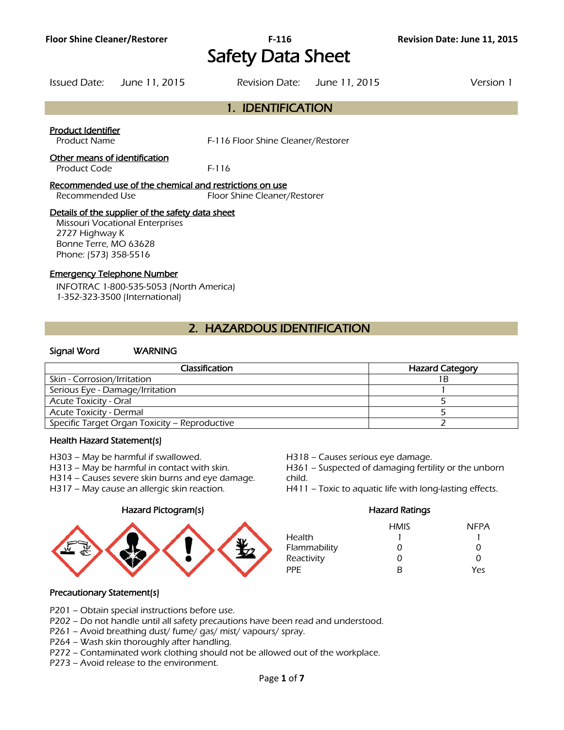# Safety Data Sheet

Issued Date: June 11, 2015 Revision Date: June 11, 2015 Version 1

| 1. IDENTIFICATION |
|-------------------|

# Product Identifier

Product Name F-116 Floor Shine Cleaner/Restorer

# Other means of identification

Product Code F-116

#### Recommended use of the chemical and restrictions on use

Recommended Use Floor Shine Cleaner/Restorer

# Details of the supplier of the safety data sheet

Missouri Vocational Enterprises 2727 Highway K Bonne Terre, MO 63628 Phone: (573) 358-5516

#### Emergency Telephone Number

INFOTRAC 1-800-535-5053 (North America) 1-352-323-3500 (International)

# 2. HAZARDOUS IDENTIFICATION

## Signal Word WARNING

| Classification                                | <b>Hazard Category</b> |
|-----------------------------------------------|------------------------|
| Skin - Corrosion/Irritation                   |                        |
| Serious Eye - Damage/Irritation               |                        |
| <b>Acute Toxicity - Oral</b>                  |                        |
| Acute Toxicity - Dermal                       |                        |
| Specific Target Organ Toxicity - Reproductive |                        |
|                                               |                        |

# Health Hazard Statement(s)

- H303 May be harmful if swallowed. H318 Causes serious eye damage.
- 
- H314 Causes severe skin burns and eye damage. child.
	-

#### Hazard Pictogram(s) Hazard Ratings



- 
- H313 May be harmful in contact with skin. H361 Suspected of damaging fertility or the unborn
- H317 May cause an allergic skin reaction. H411 Toxic to aquatic life with long-lasting effects.

|              | <b>HMIS</b> | <b>NFPA</b> |
|--------------|-------------|-------------|
| Health       |             |             |
| Flammability | 0           | O           |
| Reactivity   | 0           | O           |
| PPF          | R           | Yes         |

# Precautionary Statement(s)

P201 – Obtain special instructions before use.

P202 – Do not handle until all safety precautions have been read and understood.

- P261 Avoid breathing dust/ fume/ gas/ mist/ vapours/ spray.
- P264 Wash skin thoroughly after handling.
- P272 Contaminated work clothing should not be allowed out of the workplace.
- P273 Avoid release to the environment.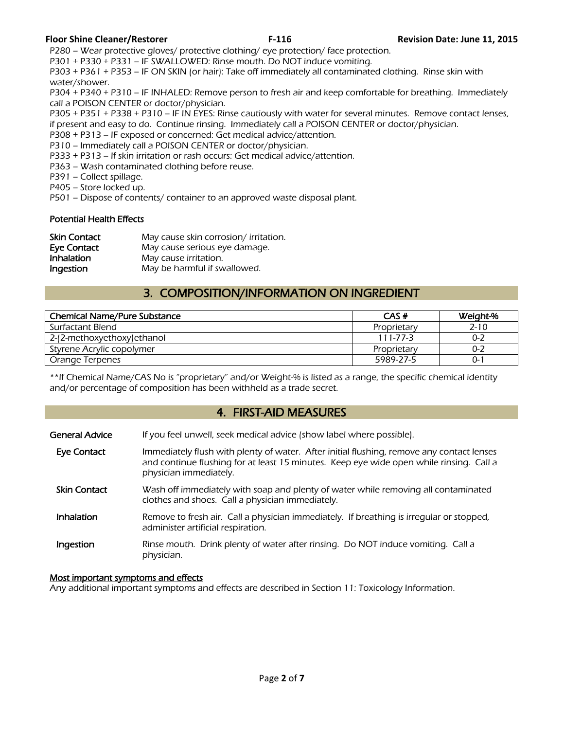P280 – Wear protective gloves/ protective clothing/ eye protection/ face protection.

P301 + P330 + P331 – IF SWALLOWED: Rinse mouth. Do NOT induce vomiting.

P303 + P361 + P353 – IF ON SKIN (or hair): Take off immediately all contaminated clothing. Rinse skin with water/shower.

P304 + P340 + P310 – IF INHALED: Remove person to fresh air and keep comfortable for breathing. Immediately call a POISON CENTER or doctor/physician.

P305 + P351 + P338 + P310 – IF IN EYES: Rinse cautiously with water for several minutes. Remove contact lenses, if present and easy to do. Continue rinsing. Immediately call a POISON CENTER or doctor/physician.

- P308 + P313 IF exposed or concerned: Get medical advice/attention.
- P310 Immediately call a POISON CENTER or doctor/physician.

P333 + P313 – If skin irritation or rash occurs: Get medical advice/attention.

P363 – Wash contaminated clothing before reuse.

P391 – Collect spillage.

P405 – Store locked up.

P501 – Dispose of contents/ container to an approved waste disposal plant.

#### Potential Health Effects

| <b>Skin Contact</b> | May cause skin corrosion/ irritation. |
|---------------------|---------------------------------------|
| <b>Eye Contact</b>  | May cause serious eye damage.         |
| <b>Inhalation</b>   | May cause irritation.                 |
| Ingestion           | May be harmful if swallowed.          |

# 3. COMPOSITION/INFORMATION ON INGREDIENT

| <b>Chemical Name/Pure Substance</b> | CAS#           | Weight-% |
|-------------------------------------|----------------|----------|
| Surfactant Blend                    | Proprietary    | $2 - 10$ |
| 2-(2-methoxyethoxy)ethanol          | $111 - 77 - 3$ | 0-2      |
| Styrene Acrylic copolymer           | Proprietary    | $0 - 2$  |
| Orange Terpenes                     | 5989-27-5      | O-1      |
|                                     |                |          |

\*\*If Chemical Name/CAS No is "proprietary" and/or Weight-% is listed as a range, the specific chemical identity and/or percentage of composition has been withheld as a trade secret.

# 4. FIRST-AID MEASURES

| General Advice      | If you feel unwell, seek medical advice (show label where possible).                                                                                                                                           |
|---------------------|----------------------------------------------------------------------------------------------------------------------------------------------------------------------------------------------------------------|
| <b>Eye Contact</b>  | Immediately flush with plenty of water. After initial flushing, remove any contact lenses<br>and continue flushing for at least 15 minutes. Keep eye wide open while rinsing. Call a<br>physician immediately. |
| <b>Skin Contact</b> | Wash off immediately with soap and plenty of water while removing all contaminated<br>clothes and shoes. Call a physician immediately.                                                                         |
| Inhalation          | Remove to fresh air. Call a physician immediately. If breathing is irregular or stopped,<br>administer artificial respiration.                                                                                 |
| Ingestion           | Rinse mouth. Drink plenty of water after rinsing. Do NOT induce vomiting. Call a<br>physician.                                                                                                                 |

#### Most important symptoms and effects

Any additional important symptoms and effects are described in Section 11: Toxicology Information.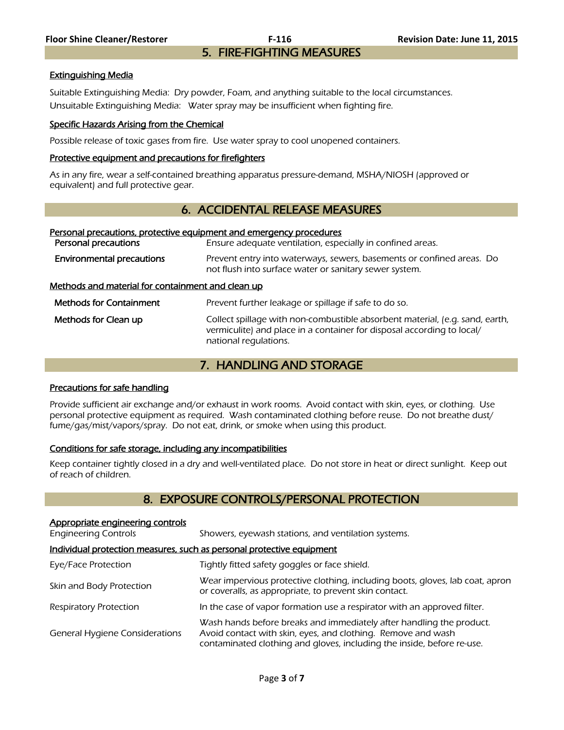# Extinguishing Media

Suitable Extinguishing Media: Dry powder, Foam, and anything suitable to the local circumstances. Unsuitable Extinguishing Media: Water spray may be insufficient when fighting fire.

# Specific Hazards Arising from the Chemical

Possible release of toxic gases from fire. Use water spray to cool unopened containers.

# Protective equipment and precautions for firefighters

As in any fire, wear a self-contained breathing apparatus pressure-demand, MSHA/NIOSH (approved or equivalent) and full protective gear.

# 6. ACCIDENTAL RELEASE MEASURES

#### Personal precautions, protective equipment and emergency procedures

| Personal precautions                              | Ensure adequate ventilation, especially in confined areas.                                                                                                                      |  |
|---------------------------------------------------|---------------------------------------------------------------------------------------------------------------------------------------------------------------------------------|--|
| <b>Environmental precautions</b>                  | Prevent entry into waterways, sewers, basements or confined areas. Do<br>not flush into surface water or sanitary sewer system.                                                 |  |
| Methods and material for containment and clean up |                                                                                                                                                                                 |  |
| <b>Methods for Containment</b>                    | Prevent further leakage or spillage if safe to do so.                                                                                                                           |  |
| Methods for Clean up                              | Collect spillage with non-combustible absorbent material, (e.g. sand, earth,<br>vermiculite) and place in a container for disposal according to local/<br>national regulations. |  |

# 7. HANDLING AND STORAGE

# Precautions for safe handling

Provide sufficient air exchange and/or exhaust in work rooms. Avoid contact with skin, eyes, or clothing. Use personal protective equipment as required. Wash contaminated clothing before reuse. Do not breathe dust/ fume/gas/mist/vapors/spray. Do not eat, drink, or smoke when using this product.

# Conditions for safe storage, including any incompatibilities

Keep container tightly closed in a dry and well-ventilated place. Do not store in heat or direct sunlight. Keep out of reach of children.

# 8. EXPOSURE CONTROLS/PERSONAL PROTECTION

| Appropriate engineering controls                                      |                                                                                                                                                                                                                |  |
|-----------------------------------------------------------------------|----------------------------------------------------------------------------------------------------------------------------------------------------------------------------------------------------------------|--|
| <b>Engineering Controls</b>                                           | Showers, eyewash stations, and ventilation systems.                                                                                                                                                            |  |
| Individual protection measures, such as personal protective equipment |                                                                                                                                                                                                                |  |
| Eye/Face Protection                                                   | Tightly fitted safety goggles or face shield.                                                                                                                                                                  |  |
| Skin and Body Protection                                              | Wear impervious protective clothing, including boots, gloves, lab coat, apron<br>or coveralls, as appropriate, to prevent skin contact.                                                                        |  |
| <b>Respiratory Protection</b>                                         | In the case of vapor formation use a respirator with an approved filter.                                                                                                                                       |  |
| General Hygiene Considerations                                        | Wash hands before breaks and immediately after handling the product.<br>Avoid contact with skin, eyes, and clothing. Remove and wash<br>contaminated clothing and gloves, including the inside, before re-use. |  |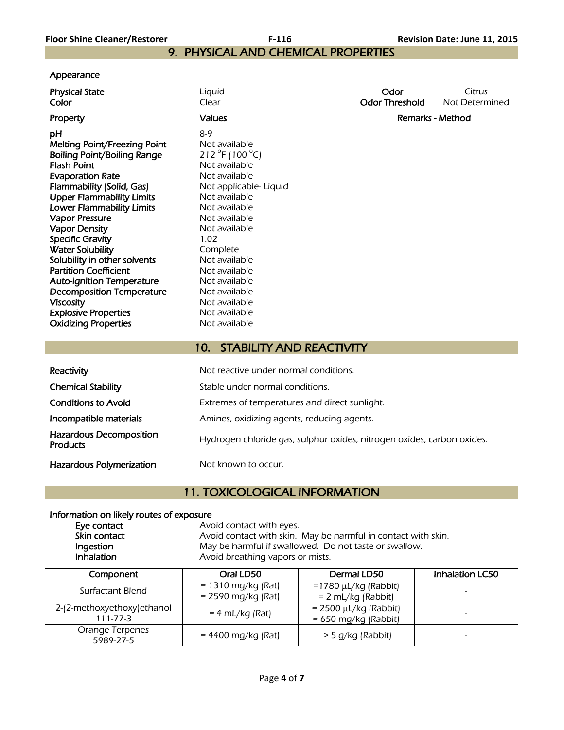# 9. PHYSICAL AND CHEMICAL PROPERTIES

# **Appearance**

| <b>Physical State</b><br>Color                               | Liquid<br>Clear                               | Odor<br><b>Odor Threshold</b> | Citrus<br>Not Determined |
|--------------------------------------------------------------|-----------------------------------------------|-------------------------------|--------------------------|
| <b>Property</b>                                              | <b>Values</b>                                 | <b>Remarks - Method</b>       |                          |
| рH                                                           | $8-9$                                         |                               |                          |
| <b>Melting Point/Freezing Point</b>                          | Not available                                 |                               |                          |
| Boiling Point/Boiling Range                                  | 212 °F (100 °C)                               |                               |                          |
| <b>Flash Point</b>                                           | Not available                                 |                               |                          |
| <b>Evaporation Rate</b>                                      | Not available                                 |                               |                          |
| Flammability (Solid, Gas)                                    | Not applicable-Liquid                         |                               |                          |
| <b>Upper Flammability Limits</b>                             | Not available                                 |                               |                          |
| Lower Flammability Limits                                    | Not available                                 |                               |                          |
| <b>Vapor Pressure</b>                                        | Not available                                 |                               |                          |
| <b>Vapor Density</b>                                         | Not available                                 |                               |                          |
| <b>Specific Gravity</b>                                      | 1.02                                          |                               |                          |
| <b>Water Solubility</b>                                      | Complete<br>Not available                     |                               |                          |
| Solubility in other solvents<br><b>Partition Coefficient</b> | Not available                                 |                               |                          |
| <b>Auto-ignition Temperature</b>                             | Not available                                 |                               |                          |
| <b>Decomposition Temperature</b>                             | Not available                                 |                               |                          |
| <b>Viscosity</b>                                             | Not available                                 |                               |                          |
| <b>Explosive Properties</b>                                  | Not available                                 |                               |                          |
| <b>Oxidizing Properties</b>                                  | Not available                                 |                               |                          |
|                                                              |                                               |                               |                          |
|                                                              | <b>STABILITY AND REACTIVITY</b><br>10.        |                               |                          |
|                                                              |                                               |                               |                          |
| Reactivity                                                   | Not reactive under normal conditions.         |                               |                          |
| <b>Chemical Stability</b>                                    | Stable under normal conditions.               |                               |                          |
| <b>Conditions to Avoid</b>                                   | Extremes of temperatures and direct sunlight. |                               |                          |

Incompatible materials **Amines**, oxidizing agents, reducing agents.

Hazardous Decomposition

Hazardous Polymerization Not known to occur.

# 11. TOXICOLOGICAL INFORMATION

# Information on likely routes of exposure Eye contact

| Eye contact  | Avoid contact with eyes.                                      |
|--------------|---------------------------------------------------------------|
| Skin contact | Avoid contact with skin. May be harmful in contact with skin. |
| Ingestion    | May be harmful if swallowed. Do not taste or swallow.         |
| Inhalation   | Avoid breathing vapors or mists.                              |

Hydrogen chloride gas, sulphur oxides, nitrogen oxides, carbon oxides.

| Component                                     | Oral LD50                                    | Dermal LD50                                          | <b>Inhalation LC50</b>   |
|-----------------------------------------------|----------------------------------------------|------------------------------------------------------|--------------------------|
| Surfactant Blend                              | $= 1310$ mg/kg (Rat)<br>$= 2590$ mg/kg (Rat) | $=1780 \mu L/kg$ (Rabbit)<br>$= 2$ mL/kg (Rabbit)    | $\overline{\phantom{a}}$ |
| 2-(2-methoxyethoxy) ethanol<br>$111 - 77 - 3$ | $= 4$ mL/kg (Rat)                            | $= 2500 \mu L/kg$ (Rabbit)<br>$= 650$ mg/kg (Rabbit) |                          |
| Orange Terpenes<br>5989-27-5                  | $= 4400$ mg/kg (Rat)                         | > 5 g/kg (Rabbit)                                    | $\overline{\phantom{a}}$ |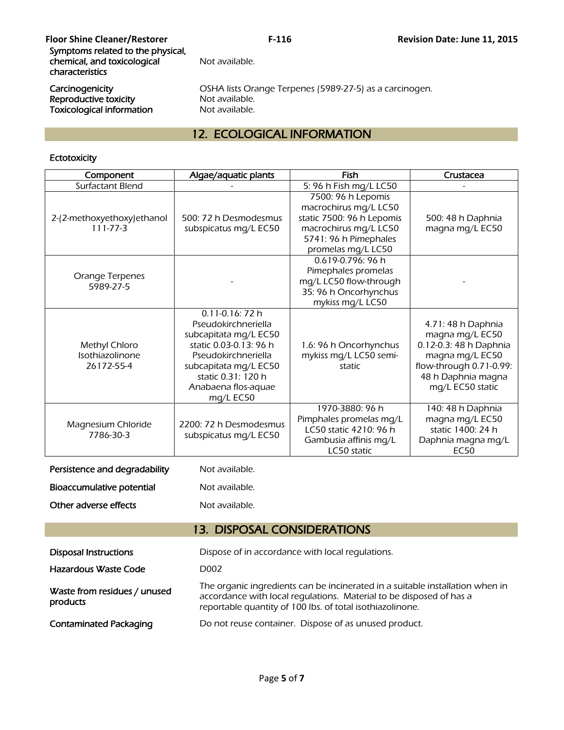| <b>Floor Shine Cleaner/Restorer</b><br>Symptoms related to the physical,<br>chemical, and toxicological<br>characteristics | $F-116$<br>Not available.                                                                   | Revision Date: June 11, 2015 |
|----------------------------------------------------------------------------------------------------------------------------|---------------------------------------------------------------------------------------------|------------------------------|
| Carcinogenicity<br>Reproductive toxicity<br><b>Toxicological information</b>                                               | OSHA lists Orange Terpenes (5989-27-5) as a carcinogen.<br>Not available.<br>Not available. |                              |

# 12. ECOLOGICAL INFORMATION

# Ectotoxicity

| Component                                      | Algae/aquatic plants                                                                                                                                                                                              | <b>Fish</b>                                                                                                                                      | Crustacea                                                                                                                                               |
|------------------------------------------------|-------------------------------------------------------------------------------------------------------------------------------------------------------------------------------------------------------------------|--------------------------------------------------------------------------------------------------------------------------------------------------|---------------------------------------------------------------------------------------------------------------------------------------------------------|
| Surfactant Blend                               |                                                                                                                                                                                                                   | 5: 96 h Fish mg/L LC50                                                                                                                           |                                                                                                                                                         |
| 2-(2-methoxyethoxy)ethanol<br>$111 - 77 - 3$   | 500: 72 h Desmodesmus<br>subspicatus mg/L EC50                                                                                                                                                                    | 7500: 96 h Lepomis<br>macrochirus mg/L LC50<br>static 7500: 96 h Lepomis<br>macrochirus mg/L LC50<br>5741: 96 h Pimephales<br>promelas mg/L LC50 | 500: 48 h Daphnia<br>magna mg/L EC50                                                                                                                    |
| Orange Terpenes<br>5989-27-5                   |                                                                                                                                                                                                                   | 0.619-0.796: 96 h<br>Pimephales promelas<br>mg/L LC50 flow-through<br>35: 96 h Oncorhynchus<br>mykiss mg/L LC50                                  |                                                                                                                                                         |
| Methyl Chloro<br>Isothiazolinone<br>26172-55-4 | $0.11 - 0.16$ : 72 h<br>Pseudokirchneriella<br>subcapitata mg/L EC50<br>static 0.03-0.13: 96 h<br>Pseudokirchneriella<br>subcapitata mg/L EC50<br>static 0.31: 120 h<br>Anabaena flos-aquae<br>mg/L EC50          | 1.6: 96 h Oncorhynchus<br>mykiss mg/L LC50 semi-<br>static                                                                                       | 4.71: 48 h Daphnia<br>magna mg/L EC50<br>0.12-0.3: 48 h Daphnia<br>magna mg/L EC50<br>flow-through 0.71-0.99:<br>48 h Daphnia magna<br>mg/L EC50 static |
| Magnesium Chloride<br>7786-30-3                | 2200: 72 h Desmodesmus<br>subspicatus mg/L EC50                                                                                                                                                                   | 1970-3880: 96 h<br>Pimphales promelas mg/L<br>LC50 static 4210: 96 h<br>Gambusia affinis mg/L<br>LC50 static                                     | 140: 48 h Daphnia<br>magna mg/L EC50<br>static 1400: 24 h<br>Daphnia magna mg/L<br>EC50                                                                 |
| Persistence and degradability                  | Not available.                                                                                                                                                                                                    |                                                                                                                                                  |                                                                                                                                                         |
| Bioaccumulative potential                      | Not available.                                                                                                                                                                                                    |                                                                                                                                                  |                                                                                                                                                         |
| Other adverse effects                          | Not available.                                                                                                                                                                                                    |                                                                                                                                                  |                                                                                                                                                         |
| <b>13. DISPOSAL CONSIDERATIONS</b>             |                                                                                                                                                                                                                   |                                                                                                                                                  |                                                                                                                                                         |
| <b>Disposal Instructions</b>                   |                                                                                                                                                                                                                   | Dispose of in accordance with local regulations.                                                                                                 |                                                                                                                                                         |
| Hazardous Waste Code                           | D <sub>0</sub> 02                                                                                                                                                                                                 |                                                                                                                                                  |                                                                                                                                                         |
| Waste from residues / unused<br>products       | The organic ingredients can be incinerated in a suitable installation when in<br>accordance with local regulations. Material to be disposed of has a<br>reportable quantity of 100 lbs. of total isothiazolinone. |                                                                                                                                                  |                                                                                                                                                         |
| <b>Contaminated Packaging</b>                  | Do not reuse container. Dispose of as unused product.                                                                                                                                                             |                                                                                                                                                  |                                                                                                                                                         |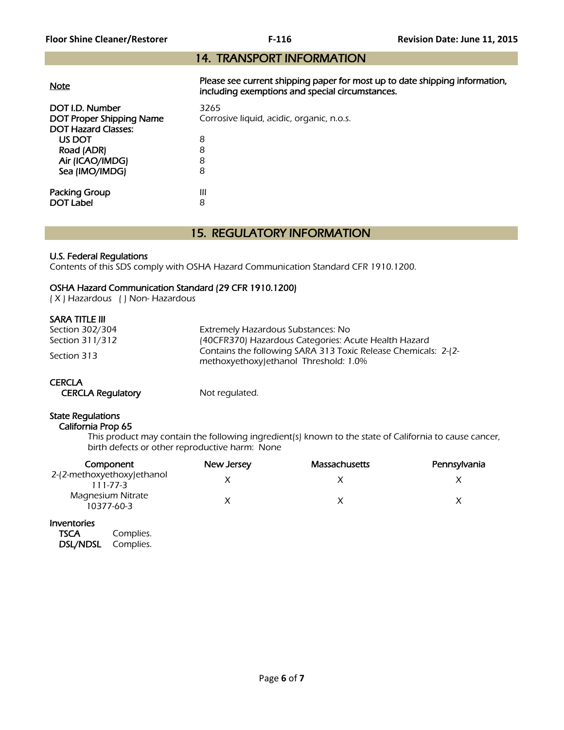# 14. TRANSPORT INFORMATION

| <b>Note</b>                                                                      | Please see current shipping paper for most up to date shipping information,<br>including exemptions and special circumstances. |
|----------------------------------------------------------------------------------|--------------------------------------------------------------------------------------------------------------------------------|
| DOT I.D. Number<br><b>DOT Proper Shipping Name</b><br><b>DOT Hazard Classes:</b> | 3265<br>Corrosive liquid, acidic, organic, n.o.s.                                                                              |
| US DOT                                                                           | 8                                                                                                                              |
| Road (ADR)                                                                       | 8                                                                                                                              |
| Air (ICAO/IMDG)                                                                  | 8                                                                                                                              |
| Sea (IMO/IMDG)                                                                   | 8                                                                                                                              |
| <b>Packing Group</b>                                                             | Ш                                                                                                                              |
| DOT Label                                                                        | 8                                                                                                                              |

# 15. REGULATORY INFORMATION

# U.S. Federal Regulations

Contents of this SDS comply with OSHA Hazard Communication Standard CFR 1910.1200.

# OSHA Hazard Communication Standard (29 CFR 1910.1200)

( X ) Hazardous ( ) Non- Hazardous

# SARA TITLE III

| Section 302/304 | Extremely Hazardous Substances: No                                                                       |
|-----------------|----------------------------------------------------------------------------------------------------------|
| Section 311/312 | (40CFR370) Hazardous Categories: Acute Health Hazard                                                     |
| Section 313     | Contains the following SARA 313 Toxic Release Chemicals: 2-(2-<br>methoxyethoxy) ethanol Threshold: 1.0% |

# **CERCLA**

CERCLA Regulatory Mot regulated.

# State Regulations

# California Prop 65

 This product may contain the following ingredient(s) known to the state of California to cause cancer, birth defects or other reproductive harm: None

| Component                              | New Jersey | <b>Massachusetts</b> | Pennsylvania |
|----------------------------------------|------------|----------------------|--------------|
| 2-(2-methoxyethoxy)ethanol<br>111-77-3 |            |                      |              |
| Magnesium Nitrate<br>10377-60-3        |            |                      |              |

# Inventories

| <b>TSCA</b> | Complies. |
|-------------|-----------|
| DSL/NDSL    | Complies. |